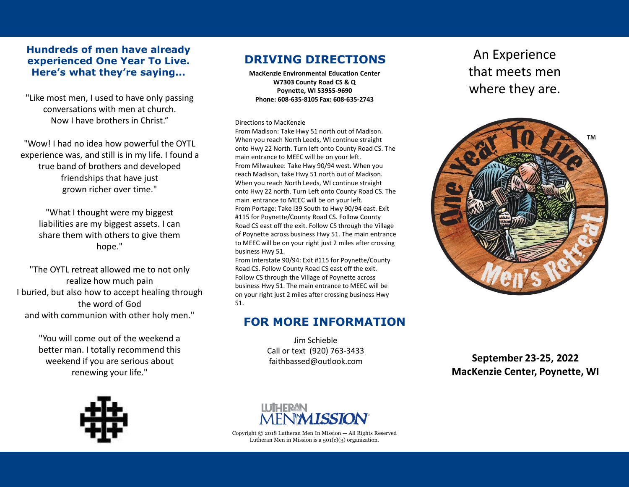#### **Hundreds of men have already experienced One Year To Live. Here's what they're saying...**

"Like most men, I used to have only passing conversations with men at church. Now I have brothers in Christ."

"Wow! I had no idea how powerful the OYTL experience was, and still is in my life. I found a true band of brothers and developed friendships that have just grown richer over time."

"What I thought were my biggest liabilities are my biggest assets. I can share them with others to give them hope."

"The OYTL retreat allowed me to not only realize how much pain I buried, but also how to accept healing through the word of God and with communion with other holy men."

> "You will come out of the weekend a better man. I totally recommend this weekend if you are serious about renewing your life."

# **DRIVING DIRECTIONS** An Experience

**MacKenzie Environmental Education Center W7303 County Road CS & Q Poynette, WI 53955-9690 Phone: 608-635-8105 Fax: 608-635-2743**

Directions to MacKenzie

From Madison: Take Hwy 51 north out of Madison. When you reach North Leeds, WI continue straight onto Hwy 22 North. Turn left onto County Road CS. The main entrance to MEEC will be on your left. From Milwaukee: Take Hwy 90/94 west. When you reach Madison, take Hwy 51 north out of Madison. When you reach North Leeds, WI continue straight onto Hwy 22 north. Turn Left onto County Road CS. The main entrance to MEEC will be on your left. From Portage: Take I39 South to Hwy 90/94 east. Exit #115 for Poynette/County Road CS. Follow County Road CS east off the exit. Follow CS through the Village of Poynette across business Hwy 51. The main entrance to MEEC will be on your right just 2 miles after crossing business Hwy 51.

From Interstate 90/94: Exit #115 for Poynette/County Road CS. Follow County Road CS east off the exit. Follow CS through the Village of Poynette across business Hwy 51. The main entrance to MEEC will be on your right just 2 miles after crossing business Hwy 51.

#### **FOR MORE INFORMATION**

Jim Schieble Call or text (920) 763-3433 faithbassed@outlook.com

that meets men where they are.



**September 23-25, 2022 MacKenzie Center, Poynette, WI**





Copyright © 2018 Lutheran Men In Mission — All Rights Reserved Lutheran Men in Mission is a  $501(c)(3)$  organization.